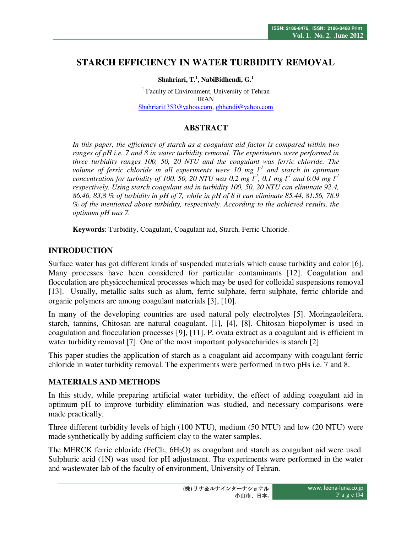# **STARCH EFFICIENCY IN WATER TURBIDITY REMOVAL**

### **Shahriari, T.<sup>1</sup> , NabiBidhendi, G.<sup>1</sup>**

<sup>1</sup> Faculty of Environment, University of Tehran IRAN Shahriari1353@yahoo.com, ghhendi@yahoo.com

## **ABSTRACT**

*In this paper, the efficiency of starch as a coagulant aid factor is compared within two ranges of pH i.e. 7 and 8 in water turbidity removal. The experiments were performed in three turbidity ranges 100, 50, 20 NTU and the coagulant was ferric chloride. The volume of ferric chloride in all experiments were 10 mg l-1 and starch in optimum concentration for turbidity of 100, 50, 20 NTU was 0.2 mg*  $l^1$ *, 0.1 mg*  $l^1$  *and 0.04 mg*  $l^1$ *respectively. Using starch coagulant aid in turbidity 100, 50, 20 NTU can eliminate 92.4, 86.46, 83,8 % of turbidity in pH of 7, while in pH of 8 it can eliminate 85.44, 81.56, 78.9 % of the mentioned above turbidity, respectively. According to the achieved results, the optimum pH was 7.* 

**Keywords**: Turbidity, Coagulant, Coagulant aid, Starch, Ferric Chloride.

## **INTRODUCTION**

Surface water has got different kinds of suspended materials which cause turbidity and color [6]. Many processes have been considered for particular contaminants [12]. Coagulation and flocculation are physicochemical processes which may be used for colloidal suspensions removal [13]. Usually, metallic salts such as alum, ferric sulphate, ferro sulphate, ferric chloride and organic polymers are among coagulant materials [3], [10].

In many of the developing countries are used natural poly electrolytes [5]. Moringaoleifera, starch, tannins, Chitosan are natural coagulant. [1], [4], [8]. Chitosan biopolymer is used in coagulation and flocculation processes [9], [11]. P. ovata extract as a coagulant aid is efficient in water turbidity removal [7]. One of the most important polysaccharides is starch [2].

This paper studies the application of starch as a coagulant aid accompany with coagulant ferric chloride in water turbidity removal. The experiments were performed in two pHs i.e. 7 and 8.

### **MATERIALS AND METHODS**

In this study, while preparing artificial water turbidity, the effect of adding coagulant aid in optimum pH to improve turbidity elimination was studied, and necessary comparisons were made practically.

Three different turbidity levels of high (100 NTU), medium (50 NTU) and low (20 NTU) were made synthetically by adding sufficient clay to the water samples.

The MERCK ferric chloride (FeCl<sub>3</sub>,  $6H<sub>2</sub>O$ ) as coagulant and starch as coagulant aid were used. Sulphuric acid (1N) was used for pH adjustment. The experiments were performed in the water and wastewater lab of the faculty of environment, University of Tehran.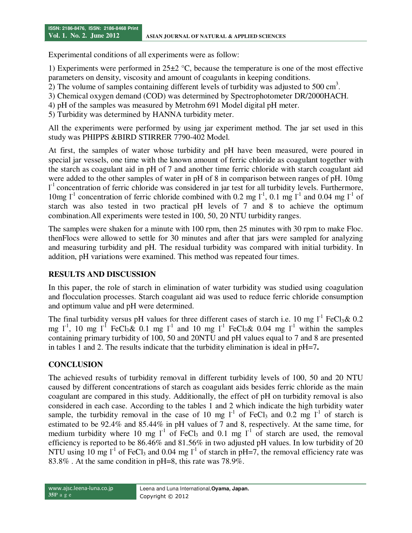Experimental conditions of all experiments were as follow:

1) Experiments were performed in  $25\pm2$  °C, because the temperature is one of the most effective parameters on density, viscosity and amount of coagulants in keeping conditions.

- 2) The volume of samples containing different levels of turbidity was adjusted to 500  $\text{cm}^3$ .
- 3) Chemical oxygen demand (COD) was determined by Spectrophotometer DR/2000HACH.
- 4) pH of the samples was measured by Metrohm 691 Model digital pH meter.
- 5) Turbidity was determined by HANNA turbidity meter.

All the experiments were performed by using jar experiment method. The jar set used in this study was PHIPPS &BIRD STIRRER 7790-402 Model.

At first, the samples of water whose turbidity and pH have been measured, were poured in special jar vessels, one time with the known amount of ferric chloride as coagulant together with the starch as coagulant aid in pH of 7 and another time ferric chloride with starch coagulant aid were added to the other samples of water in pH of 8 in comparison between ranges of pH. 10mg <sup>1</sup> concentration of ferric chloride was considered in jar test for all turbidity levels. Furthermore, 10mg  $l^{-1}$  concentration of ferric chloride combined with 0.2 mg  $l^{-1}$ , 0.1 mg  $l^{-1}$  and 0.04 mg  $l^{-1}$  of starch was also tested in two practical pH levels of 7 and 8 to achieve the optimum combination.All experiments were tested in 100, 50, 20 NTU turbidity ranges.

The samples were shaken for a minute with 100 rpm, then 25 minutes with 30 rpm to make Floc. thenFlocs were allowed to settle for 30 minutes and after that jars were sampled for analyzing and measuring turbidity and pH. The residual turbidity was compared with initial turbidity. In addition, pH variations were examined. This method was repeated four times.

## **RESULTS AND DISCUSSION**

In this paper, the role of starch in elimination of water turbidity was studied using coagulation and flocculation processes. Starch coagulant aid was used to reduce ferric chloride consumption and optimum value and pH were determined.

The final turbidity versus pH values for three different cases of starch i.e. 10 mg  $I<sup>-1</sup>$  FeCl<sub>3</sub>& 0.2 mg  $1^{-1}$ , 10 mg  $1^{-1}$  FeCl<sub>3</sub>& 0.1 mg  $1^{-1}$  and 10 mg  $1^{-1}$  FeCl<sub>3</sub>& 0.04 mg  $1^{-1}$  within the samples containing primary turbidity of 100, 50 and 20NTU and pH values equal to 7 and 8 are presented in tables 1 and 2. The results indicate that the turbidity elimination is ideal in pH=7**.** 

## **CONCLUSION**

The achieved results of turbidity removal in different turbidity levels of 100, 50 and 20 NTU caused by different concentrations of starch as coagulant aids besides ferric chloride as the main coagulant are compared in this study. Additionally, the effect of pH on turbidity removal is also considered in each case. According to the tables 1 and 2 which indicate the high turbidity water sample, the turbidity removal in the case of 10 mg  $1^1$  of FeCl<sub>3</sub> and 0.2 mg  $1^1$  of starch is estimated to be 92.4% and 85.44% in pH values of 7 and 8, respectively. At the same time, for medium turbidity where 10 mg  $l^{-1}$  of FeCl<sub>3</sub> and 0.1 mg  $l^{-1}$  of starch are used, the removal efficiency is reported to be 86.46% and 81.56% in two adjusted pH values. In low turbidity of 20 NTU using 10 mg  $I^1$  of FeCl<sub>3</sub> and 0.04 mg  $I^1$  of starch in pH=7, the removal efficiency rate was 83.8% . At the same condition in pH=8, this rate was 78.9%.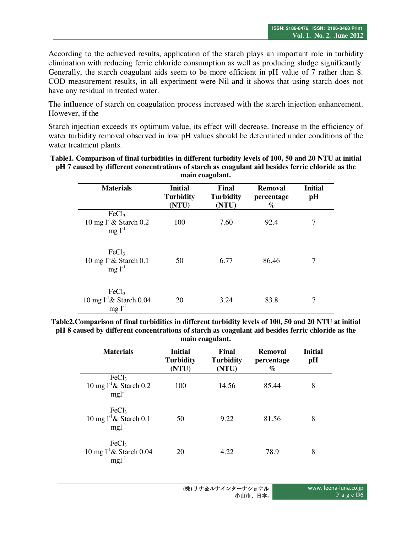According to the achieved results, application of the starch plays an important role in turbidity elimination with reducing ferric chloride consumption as well as producing sludge significantly. Generally, the starch coagulant aids seem to be more efficient in pH value of 7 rather than 8. COD measurement results, in all experiment were Nil and it shows that using starch does not have any residual in treated water.

The influence of starch on coagulation process increased with the starch injection enhancement. However, if the

Starch injection exceeds its optimum value, its effect will decrease. Increase in the efficiency of water turbidity removal observed in low pH values should be determined under conditions of the water treatment plants.

| Table1. Comparison of final turbidities in different turbidity levels of 100, 50 and 20 NTU at initial |
|--------------------------------------------------------------------------------------------------------|
| pH 7 caused by different concentrations of starch as coagulant aid besides ferric chloride as the      |
| main coagulant.                                                                                        |

| <b>Materials</b>                                                       | <b>Initial</b><br><b>Turbidity</b><br>(NTU) | Final<br><b>Turbidity</b><br>(NTU) | <b>Removal</b><br>percentage<br>$\%$ | <b>Initial</b><br>pH |
|------------------------------------------------------------------------|---------------------------------------------|------------------------------------|--------------------------------------|----------------------|
| FeCl <sub>3</sub><br>10 mg $1^{\text{-}1}$ & Starch 0.2<br>$mg 1^{-1}$ | 100                                         | 7.60                               | 92.4                                 | 7                    |
| FeCl <sub>3</sub><br>10 mg $1^{-1}$ & Starch 0.1<br>$mg 1^{-1}$        | 50                                          | 6.77                               | 86.46                                | 7                    |
| FeCl <sub>3</sub><br>10 mg $1^{\text{-}1}$ & Starch 0.04<br>$mg1^{-1}$ | 20                                          | 3.24                               | 83.8                                 | 7                    |

**Table2.Comparison of final turbidities in different turbidity levels of 100, 50 and 20 NTU at initial pH 8 caused by different concentrations of starch as coagulant aid besides ferric chloride as the main coagulant.** 

| <b>Materials</b>                                                      | <b>Initial</b><br><b>Turbidity</b><br>(NTU) | Final<br><b>Turbidity</b><br>(NTU) | Removal<br>percentage<br>% | <b>Initial</b><br>pH |
|-----------------------------------------------------------------------|---------------------------------------------|------------------------------------|----------------------------|----------------------|
| FeCl <sub>3</sub><br>10 mg $1^{\text{-}1}$ & Starch 0.2<br>$mgl^{-1}$ | 100                                         | 14.56                              | 85.44                      | 8                    |
| FeCl <sub>3</sub><br>10 mg $1^{-1}$ & Starch 0.1<br>$mgl^{-1}$        | 50                                          | 9.22                               | 81.56                      | 8                    |
| FeCl <sub>3</sub><br>10 mg $1^{-1}$ & Starch 0.04<br>$mgl^{-1}$       | 20                                          | 4.22                               | 78.9                       | 8                    |